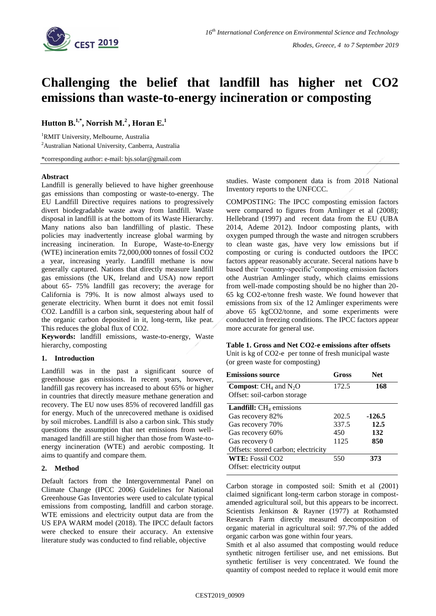

# **Challenging the belief that landfill has higher net CO2 emissions than waste-to-energy incineration or composting**

## **Hutton B.1,\*, Norrish M.<sup>2</sup> , Horan E. 1**

<sup>1</sup>RMIT University, Melbourne, Australia <sup>2</sup> Australian National University, Canberra, Australia

\*corresponding author: e-mail: bjs.solar@gmail.com

### **Abstract**

Landfill is generally believed to have higher greenhouse gas emissions than composting or waste-to-energy. The EU Landfill Directive requires nations to progressively divert biodegradable waste away from landfill. Waste disposal in landfill is at the bottom of its Waste Hierarchy. Many nations also ban landfilling of plastic. These policies may inadvertently increase global warming by increasing incineration. In Europe, Waste-to-Energy (WTE) incineration emits 72,000,000 tonnes of fossil CO2 a year, increasing yearly. Landfill methane is now generally captured. Nations that directly measure landfill gas emissions (the UK, Ireland and USA) now report about 65- 75% landfill gas recovery; the average for California is 79%. It is now almost always used to generate electricity. When burnt it does not emit fossil CO2. Landfill is a carbon sink, sequestering about half of the organic carbon deposited in it, long-term, like peat. This reduces the global flux of CO2.

**Keywords:** landfill emissions, waste-to-energy, Waste hierarchy, composting

### **1. Introduction**

Landfill was in the past a significant source of greenhouse gas emissions. In recent years, however, landfill gas recovery has increased to about 65% or higher in countries that directly measure methane generation and recovery. The EU now uses 85% of recovered landfill gas for energy. Much of the unrecovered methane is oxidised by soil microbes. Landfill is also a carbon sink. This study questions the assumption that net emissions from wellmanaged landfill are still higher than those from Waste-toenergy incineration (WTE) and aerobic composting. It aims to quantify and compare them.

## **2. Method**

Default factors from the Intergovernmental Panel on Climate Change (IPCC 2006) Guidelines for National Greenhouse Gas Inventories were used to calculate typical emissions from composting, landfill and carbon storage. WTE emissions and electricity output data are from the US EPA WARM model (2018). The IPCC default factors were checked to ensure their accuracy. An extensive literature study was conducted to find reliable, objective

studies. Waste component data is from 2018 National Inventory reports to the UNFCCC.

COMPOSTING: The IPCC composting emission factors were compared to figures from Amlinger et al (2008); Hellebrand (1997) and recent data from the EU (UBA 2014, Ademe 2012). Indoor composting plants, with oxygen pumped through the waste and nitrogen scrubbers to clean waste gas, have very low emissions but if composting or curing is conducted outdoors the IPCC factors appear reasonably accurate. Seceral nations have b based their "country-specific"composting emission factors othe Austrian Amlinger study, which claims emissions from well-made composting should be no higher than 20- 65 kg CO2-e/tonne fresh waste. We found however that emissions from six of the 12 Amlinger experiments were above 65 kgCO2/tonne, and some experiments were conducted in freezing conditions. The IPCC factors appear more accurate for general use.

## **Table 1. Gross and Net CO2-e emissions after offsets**

Unit is kg of CO2-e per tonne of fresh municipal waste (or green waste for composting)

| Gross | Net.     |
|-------|----------|
| 172.5 | 168      |
|       |          |
|       |          |
| 202.5 | $-126.5$ |
| 337.5 | 12.5     |
| 450   | 132      |
| 1125  | 850      |
|       |          |
| 550   | 373      |
|       |          |
|       |          |

Carbon storage in composted soil: Smith et al (2001) claimed significant long-term carbon storage in compostamended agricultural soil, but this appears to be incorrect. Scientists Jenkinson & Rayner (1977) at Rothamsted Research Farm directly measured decomposition of organic material in agricultural soil: 97.7% of the added organic carbon was gone within four years.

Smith et al also assumed that composting would reduce synthetic nitrogen fertiliser use, and net emissions. But synthetic fertiliser is very concentrated. We found the quantity of compost needed to replace it would emit more